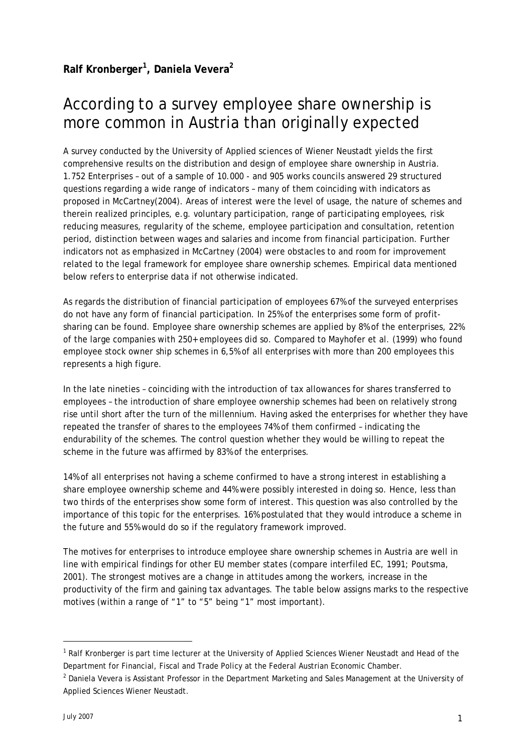## According to a survey employee share ownership is more common in Austria than originally expected

A survey conducted by the University of Applied sciences of Wiener Neustadt yields the first comprehensive results on the distribution and design of employee share ownership in Austria. 1.752 Enterprises – out of a sample of 10.000 - and 905 works councils answered 29 structured questions regarding a wide range of indicators – many of them coinciding with indicators as proposed in McCartney(2004). Areas of interest were the level of usage, the nature of schemes and therein realized principles, e.g. voluntary participation, range of participating employees, risk reducing measures, regularity of the scheme, employee participation and consultation, retention period, distinction between wages and salaries and income from financial participation. Further indicators not as emphasized in McCartney (2004) were obstacles to and room for improvement related to the legal framework for employee share ownership schemes. Empirical data mentioned below refers to enterprise data if not otherwise indicated.

As regards the distribution of financial participation of employees 67% of the surveyed enterprises do not have any form of financial participation. In 25% of the enterprises some form of profitsharing can be found. Employee share ownership schemes are applied by 8% of the enterprises, 22% of the large companies with 250+ employees did so. Compared to Mayhofer et al. (1999) who found employee stock owner ship schemes in 6,5% of all enterprises with more than 200 employees this represents a high figure.

In the late nineties – coinciding with the introduction of tax allowances for shares transferred to employees – the introduction of share employee ownership schemes had been on relatively strong rise until short after the turn of the millennium. Having asked the enterprises for whether they have repeated the transfer of shares to the employees 74% of them confirmed – indicating the endurability of the schemes. The control question whether they would be willing to repeat the scheme in the future was affirmed by 83% of the enterprises.

14% of all enterprises not having a scheme confirmed to have a strong interest in establishing a share employee ownership scheme and 44% were possibly interested in doing so. Hence, less than two thirds of the enterprises show some form of interest. This question was also controlled by the importance of this topic for the enterprises. 16% postulated that they would introduce a scheme in the future and 55% would do so if the regulatory framework improved.

The motives for enterprises to introduce employee share ownership schemes in Austria are well in line with empirical findings for other EU member states (compare interfiled EC, 1991; Poutsma, 2001). The strongest motives are a change in attitudes among the workers, increase in the productivity of the firm and gaining tax advantages. The table below assigns marks to the respective motives (within a range of "1" to "5" being "1" most important).

 $\overline{a}$ 

<sup>&</sup>lt;sup>1</sup> Ralf Kronberger is part time lecturer at the University of Applied Sciences Wiener Neustadt and Head of the Department for Financial, Fiscal and Trade Policy at the Federal Austrian Economic Chamber.

<sup>&</sup>lt;sup>2</sup> Daniela Vevera is Assistant Professor in the Department Marketing and Sales Management at the University of Applied Sciences Wiener Neustadt.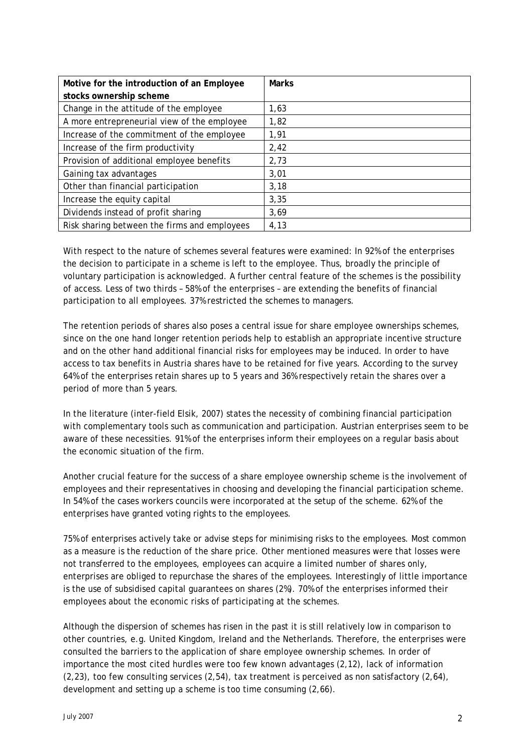| Motive for the introduction of an Employee   | <b>Marks</b> |
|----------------------------------------------|--------------|
| stocks ownership scheme                      |              |
| Change in the attitude of the employee       | 1,63         |
| A more entrepreneurial view of the employee  | 1,82         |
| Increase of the commitment of the employee   | 1,91         |
| Increase of the firm productivity            | 2,42         |
| Provision of additional employee benefits    | 2,73         |
| Gaining tax advantages                       | 3,01         |
| Other than financial participation           | 3,18         |
| Increase the equity capital                  | 3,35         |
| Dividends instead of profit sharing          | 3,69         |
| Risk sharing between the firms and employees | 4,13         |

With respect to the nature of schemes several features were examined: In 92% of the enterprises the decision to participate in a scheme is left to the employee. Thus, broadly the principle of voluntary participation is acknowledged. A further central feature of the schemes is the possibility of access. Less of two thirds – 58% of the enterprises – are extending the benefits of financial participation to all employees. 37% restricted the schemes to managers.

The retention periods of shares also poses a central issue for share employee ownerships schemes, since on the one hand longer retention periods help to establish an appropriate incentive structure and on the other hand additional financial risks for employees may be induced. In order to have access to tax benefits in Austria shares have to be retained for five years. According to the survey 64% of the enterprises retain shares up to 5 years and 36% respectively retain the shares over a period of more than 5 years.

In the literature (inter-field Elsik, 2007) states the necessity of combining financial participation with complementary tools such as communication and participation. Austrian enterprises seem to be aware of these necessities. 91% of the enterprises inform their employees on a regular basis about the economic situation of the firm.

Another crucial feature for the success of a share employee ownership scheme is the involvement of employees and their representatives in choosing and developing the financial participation scheme. In 54% of the cases workers councils were incorporated at the setup of the scheme. 62% of the enterprises have granted voting rights to the employees.

75% of enterprises actively take or advise steps for minimising risks to the employees. Most common as a measure is the reduction of the share price. Other mentioned measures were that losses were not transferred to the employees, employees can acquire a limited number of shares only, enterprises are obliged to repurchase the shares of the employees. Interestingly of little importance is the use of subsidised capital guarantees on shares (2%). 70% of the enterprises informed their employees about the economic risks of participating at the schemes.

Although the dispersion of schemes has risen in the past it is still relatively low in comparison to other countries, e.g. United Kingdom, Ireland and the Netherlands. Therefore, the enterprises were consulted the barriers to the application of share employee ownership schemes. In order of importance the most cited hurdles were too few known advantages (2,12), lack of information (2,23), too few consulting services (2,54), tax treatment is perceived as non satisfactory (2,64), development and setting up a scheme is too time consuming (2,66).